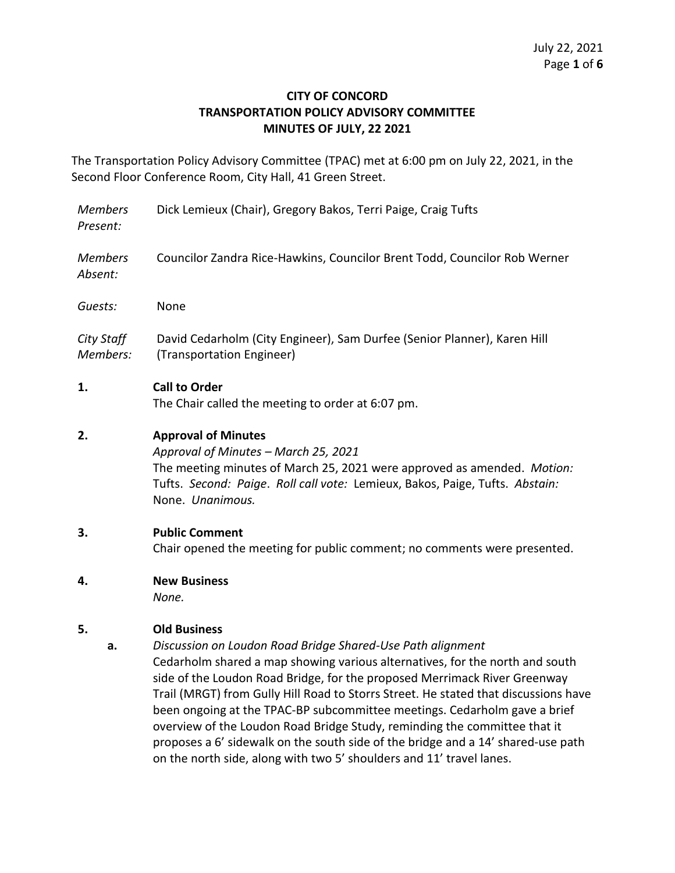## **CITY OF CONCORD TRANSPORTATION POLICY ADVISORY COMMITTEE MINUTES OF JULY, 22 2021**

The Transportation Policy Advisory Committee (TPAC) met at 6:00 pm on July 22, 2021, in the Second Floor Conference Room, City Hall, 41 Green Street.

*Members Present:* Dick Lemieux (Chair), Gregory Bakos, Terri Paige, Craig Tufts

*Members Absent:* Councilor Zandra Rice-Hawkins, Councilor Brent Todd, Councilor Rob Werner

*Guests:* None

*City Staff Members:* David Cedarholm (City Engineer), Sam Durfee (Senior Planner), Karen Hill (Transportation Engineer)

## **1. Call to Order**

The Chair called the meeting to order at 6:07 pm.

## **2. Approval of Minutes**

*Approval of Minutes – March 25, 2021* The meeting minutes of March 25, 2021 were approved as amended. *Motion:*  Tufts. *Second: Paige*. *Roll call vote:* Lemieux, Bakos, Paige, Tufts. *Abstain:* None. *Unanimous.* 

### **3. Public Comment**

Chair opened the meeting for public comment; no comments were presented.

### **4. New Business**

*None.*

# **5. Old Business**

**a.** *Discussion on Loudon Road Bridge Shared-Use Path alignment* Cedarholm shared a map showing various alternatives, for the north and south side of the Loudon Road Bridge, for the proposed Merrimack River Greenway Trail (MRGT) from Gully Hill Road to Storrs Street. He stated that discussions have been ongoing at the TPAC-BP subcommittee meetings. Cedarholm gave a brief overview of the Loudon Road Bridge Study, reminding the committee that it proposes a 6' sidewalk on the south side of the bridge and a 14' shared-use path on the north side, along with two 5' shoulders and 11' travel lanes.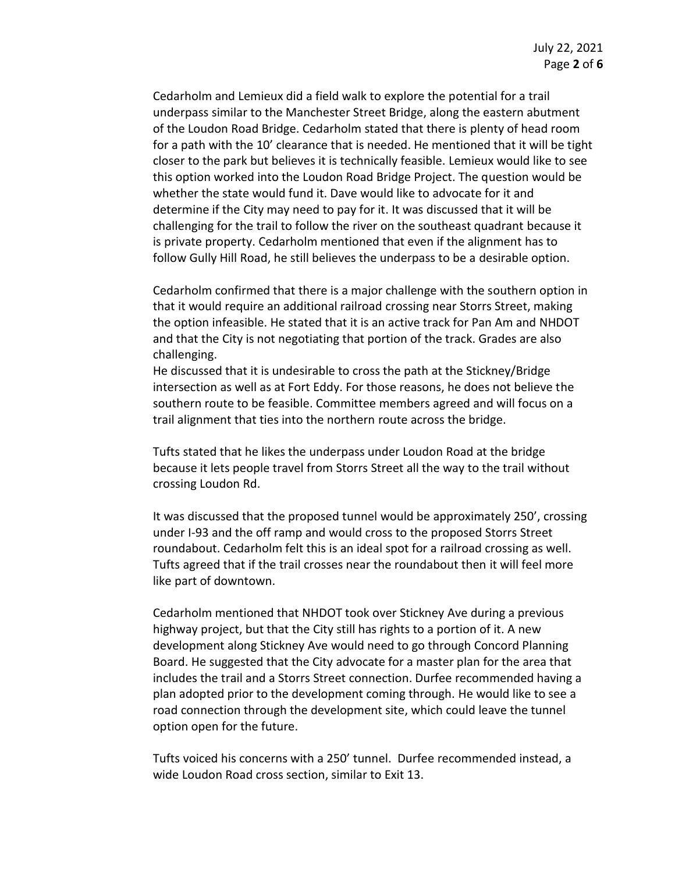Cedarholm and Lemieux did a field walk to explore the potential for a trail underpass similar to the Manchester Street Bridge, along the eastern abutment of the Loudon Road Bridge. Cedarholm stated that there is plenty of head room for a path with the 10' clearance that is needed. He mentioned that it will be tight closer to the park but believes it is technically feasible. Lemieux would like to see this option worked into the Loudon Road Bridge Project. The question would be whether the state would fund it. Dave would like to advocate for it and determine if the City may need to pay for it. It was discussed that it will be challenging for the trail to follow the river on the southeast quadrant because it is private property. Cedarholm mentioned that even if the alignment has to follow Gully Hill Road, he still believes the underpass to be a desirable option.

Cedarholm confirmed that there is a major challenge with the southern option in that it would require an additional railroad crossing near Storrs Street, making the option infeasible. He stated that it is an active track for Pan Am and NHDOT and that the City is not negotiating that portion of the track. Grades are also challenging.

He discussed that it is undesirable to cross the path at the Stickney/Bridge intersection as well as at Fort Eddy. For those reasons, he does not believe the southern route to be feasible. Committee members agreed and will focus on a trail alignment that ties into the northern route across the bridge.

Tufts stated that he likes the underpass under Loudon Road at the bridge because it lets people travel from Storrs Street all the way to the trail without crossing Loudon Rd.

It was discussed that the proposed tunnel would be approximately 250', crossing under I-93 and the off ramp and would cross to the proposed Storrs Street roundabout. Cedarholm felt this is an ideal spot for a railroad crossing as well. Tufts agreed that if the trail crosses near the roundabout then it will feel more like part of downtown.

Cedarholm mentioned that NHDOT took over Stickney Ave during a previous highway project, but that the City still has rights to a portion of it. A new development along Stickney Ave would need to go through Concord Planning Board. He suggested that the City advocate for a master plan for the area that includes the trail and a Storrs Street connection. Durfee recommended having a plan adopted prior to the development coming through. He would like to see a road connection through the development site, which could leave the tunnel option open for the future.

Tufts voiced his concerns with a 250' tunnel. Durfee recommended instead, a wide Loudon Road cross section, similar to Exit 13.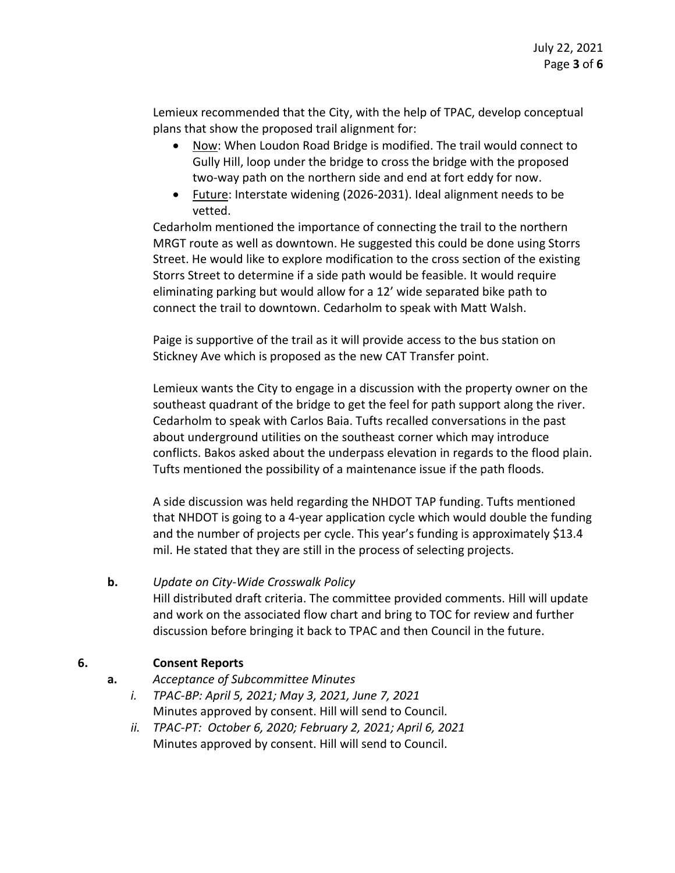Lemieux recommended that the City, with the help of TPAC, develop conceptual plans that show the proposed trail alignment for:

- Now: When Loudon Road Bridge is modified. The trail would connect to Gully Hill, loop under the bridge to cross the bridge with the proposed two-way path on the northern side and end at fort eddy for now.
- Future: Interstate widening (2026-2031). Ideal alignment needs to be vetted.

Cedarholm mentioned the importance of connecting the trail to the northern MRGT route as well as downtown. He suggested this could be done using Storrs Street. He would like to explore modification to the cross section of the existing Storrs Street to determine if a side path would be feasible. It would require eliminating parking but would allow for a 12' wide separated bike path to connect the trail to downtown. Cedarholm to speak with Matt Walsh.

Paige is supportive of the trail as it will provide access to the bus station on Stickney Ave which is proposed as the new CAT Transfer point.

Lemieux wants the City to engage in a discussion with the property owner on the southeast quadrant of the bridge to get the feel for path support along the river. Cedarholm to speak with Carlos Baia. Tufts recalled conversations in the past about underground utilities on the southeast corner which may introduce conflicts. Bakos asked about the underpass elevation in regards to the flood plain. Tufts mentioned the possibility of a maintenance issue if the path floods.

A side discussion was held regarding the NHDOT TAP funding. Tufts mentioned that NHDOT is going to a 4-year application cycle which would double the funding and the number of projects per cycle. This year's funding is approximately \$13.4 mil. He stated that they are still in the process of selecting projects.

# **b.** *Update on City-Wide Crosswalk Policy*

Hill distributed draft criteria. The committee provided comments. Hill will update and work on the associated flow chart and bring to TOC for review and further discussion before bringing it back to TPAC and then Council in the future.

# **6. Consent Reports**

- **a.** *Acceptance of Subcommittee Minutes*
	- *i. TPAC-BP: April 5, 2021; May 3, 2021, June 7, 2021* Minutes approved by consent. Hill will send to Council.
	- *ii. TPAC-PT: October 6, 2020; February 2, 2021; April 6, 2021* Minutes approved by consent. Hill will send to Council.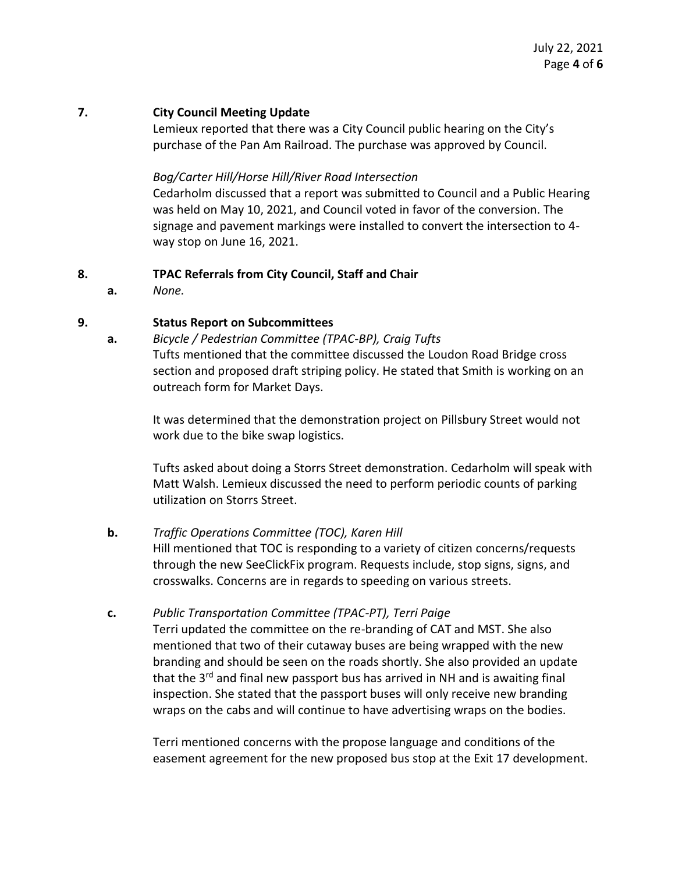### **7. City Council Meeting Update**

Lemieux reported that there was a City Council public hearing on the City's purchase of the Pan Am Railroad. The purchase was approved by Council.

### *Bog/Carter Hill/Horse Hill/River Road Intersection*

Cedarholm discussed that a report was submitted to Council and a Public Hearing was held on May 10, 2021, and Council voted in favor of the conversion. The signage and pavement markings were installed to convert the intersection to 4 way stop on June 16, 2021.

### **8. TPAC Referrals from City Council, Staff and Chair**

**a.** *None.*

## **9. Status Report on Subcommittees**

**a.** *Bicycle / Pedestrian Committee (TPAC-BP), Craig Tufts* Tufts mentioned that the committee discussed the Loudon Road Bridge cross section and proposed draft striping policy. He stated that Smith is working on an outreach form for Market Days.

It was determined that the demonstration project on Pillsbury Street would not work due to the bike swap logistics.

Tufts asked about doing a Storrs Street demonstration. Cedarholm will speak with Matt Walsh. Lemieux discussed the need to perform periodic counts of parking utilization on Storrs Street.

### **b.** *Traffic Operations Committee (TOC), Karen Hill*

Hill mentioned that TOC is responding to a variety of citizen concerns/requests through the new SeeClickFix program. Requests include, stop signs, signs, and crosswalks. Concerns are in regards to speeding on various streets.

### **c.** *Public Transportation Committee (TPAC-PT), Terri Paige*

Terri updated the committee on the re-branding of CAT and MST. She also mentioned that two of their cutaway buses are being wrapped with the new branding and should be seen on the roads shortly. She also provided an update that the 3<sup>rd</sup> and final new passport bus has arrived in NH and is awaiting final inspection. She stated that the passport buses will only receive new branding wraps on the cabs and will continue to have advertising wraps on the bodies.

Terri mentioned concerns with the propose language and conditions of the easement agreement for the new proposed bus stop at the Exit 17 development.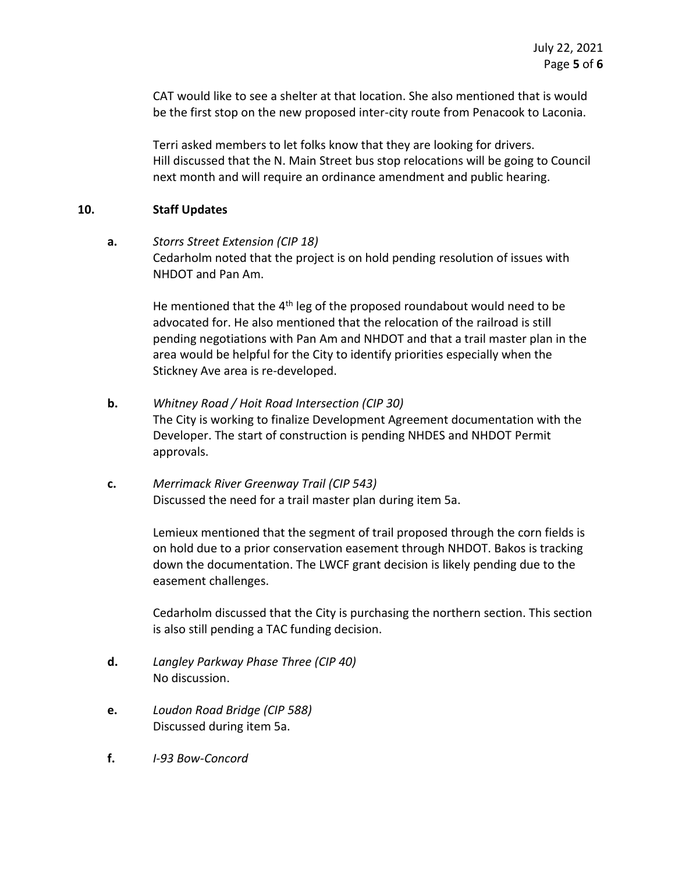CAT would like to see a shelter at that location. She also mentioned that is would be the first stop on the new proposed inter-city route from Penacook to Laconia.

Terri asked members to let folks know that they are looking for drivers. Hill discussed that the N. Main Street bus stop relocations will be going to Council next month and will require an ordinance amendment and public hearing.

### **10. Staff Updates**

**a.** *Storrs Street Extension (CIP 18)* Cedarholm noted that the project is on hold pending resolution of issues with NHDOT and Pan Am.

> He mentioned that the  $4<sup>th</sup>$  leg of the proposed roundabout would need to be advocated for. He also mentioned that the relocation of the railroad is still pending negotiations with Pan Am and NHDOT and that a trail master plan in the area would be helpful for the City to identify priorities especially when the Stickney Ave area is re-developed.

- **b.** *Whitney Road / Hoit Road Intersection (CIP 30)* The City is working to finalize Development Agreement documentation with the Developer. The start of construction is pending NHDES and NHDOT Permit approvals.
- **c.** *Merrimack River Greenway Trail (CIP 543)* Discussed the need for a trail master plan during item 5a.

Lemieux mentioned that the segment of trail proposed through the corn fields is on hold due to a prior conservation easement through NHDOT. Bakos is tracking down the documentation. The LWCF grant decision is likely pending due to the easement challenges.

Cedarholm discussed that the City is purchasing the northern section. This section is also still pending a TAC funding decision.

- **d.** *Langley Parkway Phase Three (CIP 40)* No discussion.
- **e.** *Loudon Road Bridge (CIP 588)* Discussed during item 5a.
- **f.** *I-93 Bow-Concord*